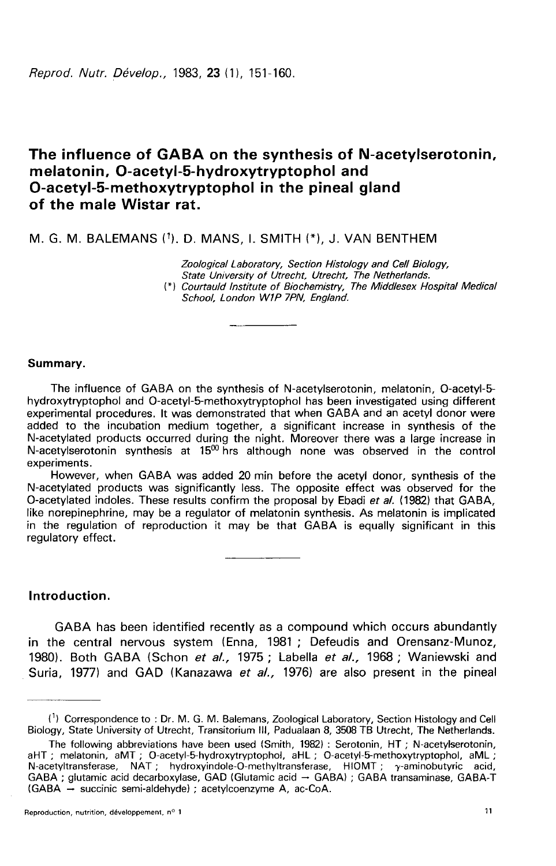Reprod. Nutr. Dévelop., 1983, 23 (1), 151-160.

# The influence of GABA on the synthesis of N-acetylserotonin, melatonin, O-acetyl-5-hydroxytryptophol and O-acetyl-5-methoxytryptophol in the pineal gland of the male Wistar rat.

M. G. M. BALEMANS (1), D. MANS, I. SMITH (\*), J. VAN BENTHEM

Zoological Laboratory, Section Histology and Cell Biology, State University of Utrecht, Utrecht, The Netherlands. (\*) Courtauld Institute of Biochemistry, The Middlesex Hospital Medical School, London W1P 7PN, England.

#### Summary.

The influence of GABA on the synthesis of N-acetylserotonin, melatonin, O-acetyl-5 hydroxytryptophol and 0-acetyl-5-methoxytryptophol has been investigated using different experimental procedures. It was demonstrated that when GABA and an acetyl donor were added to the incubation medium together, a significant increase in synthesis of the N-acetylated products occurred during the night. Moreover there was a large increase in N-acetylserotonin synthesis at  $15<sup>00</sup>$  hrs although none was observed in the control experiments.

However, when GABA was added 20 min before the acetyl donor, synthesis of the N-acetylated products was significantly less. The opposite effect was observed for the O-acetylated indoles. These results confirm the proposal by Ebadi et al. (1982) that GABA, like norepinephrine, may be a regulator of melatonin synthesis. As melatonin is implicated in the regulation of reproduction it may be that GABA is equally significant in this regulatory effect.

# Introduction.

GABA has been identified recently as a compound which occurs abundantly in the central nervous system (Enna, 1981 ; Defeudis and Orensanz-Munoz, 1980). Both GABA (Schon et al., 1975 ; Labella et al., 1968 ; Waniewski and Suria, 1977) and GAD (Kanazawa et al., 1976) are also present in the pineal

 $\binom{1}{1}$  Correspondence to : Dr. M. G. M. Balemans, Zoological Laboratory, Section Histology and Cell Biology, State University of Utrecht, Transitorium III, Padualaan 8, 3508 TB Utrecht, The Netherlands.

The following abbreviations have been used (Smith, 1982) : Serotonin, HT ; N-acetylserotonin, aHT ; melatonin, aMT ; O-acetyl-5-hydroxytryptophol, aHL ; O-acetyl-5-methoxytryptophol, aML ; N-acetyltransferase, NAT ; hydroxyindole-O-methyltransferase, HIOMT ; y-aminobutyric acid, GABA ; glutamic acid decarboxylase, GAD (Glutamic acid ― GABA) ; GABA transaminase, GABA-T  $(GABA \rightarrow succinic semi-aldehyde)$ ; acetylcoenzyme A, ac-CoA.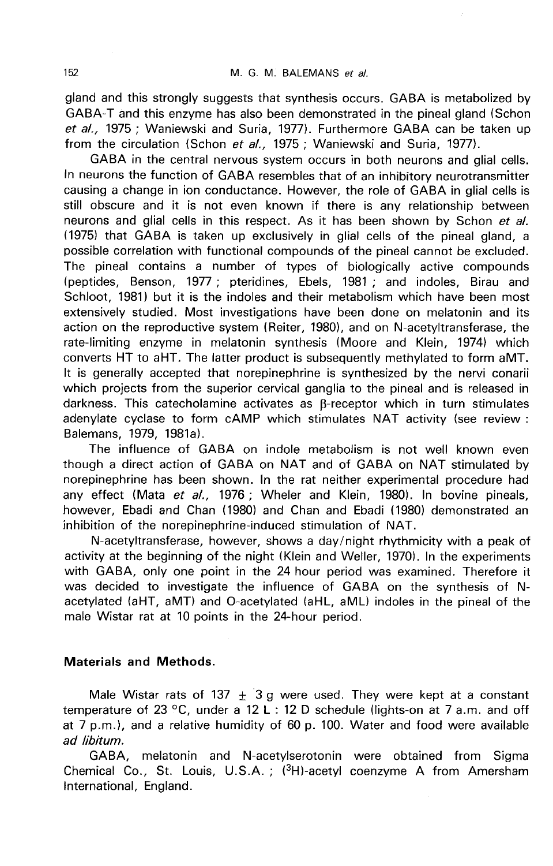gland and this strongly suggests that synthesis occurs. GABA is metabolized by GABA-T and this enzyme has also been demonstrated in the pineal gland (Schon et al., 1975 ; Waniewski and Suria, 1977). Furthermore GABA can be taken up from the circulation (Schon et al., 1975; Waniewski and Suria, 1977).

GABA in the central nervous system occurs in both neurons and glial cells. In neurons the function of GABA resembles that of an inhibitory neurotransmitter causing a change in ion conductance. However, the role of GABA in glial cells is still obscure and it is not even known if there is any relationship between neurons and glial cells in this respect. As it has been shown by Schon et al. (1975) that GABA is taken up exclusively in glial cells of the pineal gland, a possible correlation with functional compounds of the pineal cannot be excluded. The pineal contains a number of types of biologically active compounds (peptides, Benson, 1977 ; pteridines, Ebels, 1981 ; and indoles, Birau and Schloot, 1981) but it is the indoles and their metabolism which have been most extensively studied. Most investigations have been done on melatonin and its action on the reproductive system (Reiter, 1980), and on N-acetyltransferase, the rate-limiting enzyme in melatonin synthesis (Moore and Klein, 1974) which converts HT to aHT. The latter product is subsequently methylated to form aMT. It is generally accepted that norepinephrine is synthesized by the nervi conarii which projects from the superior cervical ganglia to the pineal and is released in darkness. This catecholamine activates as  $\beta$ -receptor which in turn stimulates adenylate cyclase to form cAMP which stimulates NAT activity (see review : Balemans, 1979, 1981a).

The influence of GABA on indole metabolism is not well known even though a direct action of GABA on NAT and of GABA on NAT stimulated by norepinephrine has been shown. In the rat neither experimental procedure had any effect (Mata et al., 1976 ; Wheler and Klein, 1980). In bovine pineals, however, Ebadi and Chan (1980) and Chan and Ebadi (1980) demonstrated an inhibition of the norepinephrine-induced stimulation of NAT.

N-acetyltransferase, however, shows a day/night rhythmicity with a peak of activity at the beginning of the night (Klein and Weller, 1970). In the experiments with GABA, only one point in the 24 hour period was examined. Therefore it was decided to investigate the influence of GABA on the synthesis of Nacetylated (aHT, aMT) and 0-acetylated (aHL, aML) indoles in the pineal of the male Wistar rat at 10 points in the 24-hour period.

# Materials and Methods.

Male Wistar rats of 137  $+$  3 g were used. They were kept at a constant temperature of 23 °C, under a 12 L : 12 D schedule (lights-on at 7 a.m. and off at 7 p.m.), and a relative humidity of 60 p. 100. Water and food were available ad libitum. temperature of 23 °C, under a 12 L : 12 D schedule (lights-on at 7 a.m. and off<br>at 7 p.m.), and a relative humidity of 60 p. 100. Water and food were available<br>ad libitum.<br>GABA, melatonin and N-acetylserotonin were obtaine

GABA, melatonin and N-acetylserotonin were obtained from Sigma<br>Chemical Co., St. Louis, U.S.A.; (<sup>3</sup>H)-acetyl coenzyme A from Amersham International, England.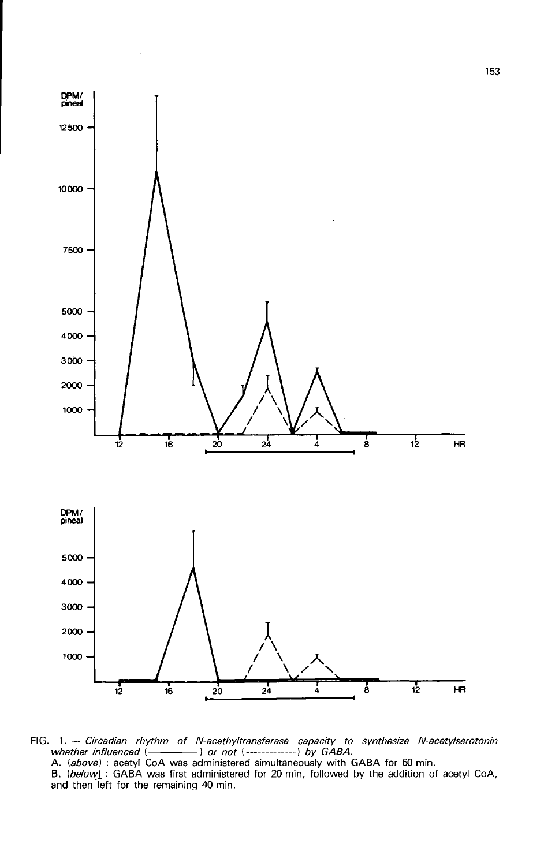

FIG. 1. -- Circadian rhythm of N-acethyltransferase capacity to synthesize N-acetylserotonin whether influenced (-- ) or not (--------------) by GABA. A. (above): acetyl CoA was administered simultaneously with GABA for 60 min.<br>B. (below): GABA was first administered for 20 min, followed by the addition of acetyl CoA, and then left for the remaining 40 min.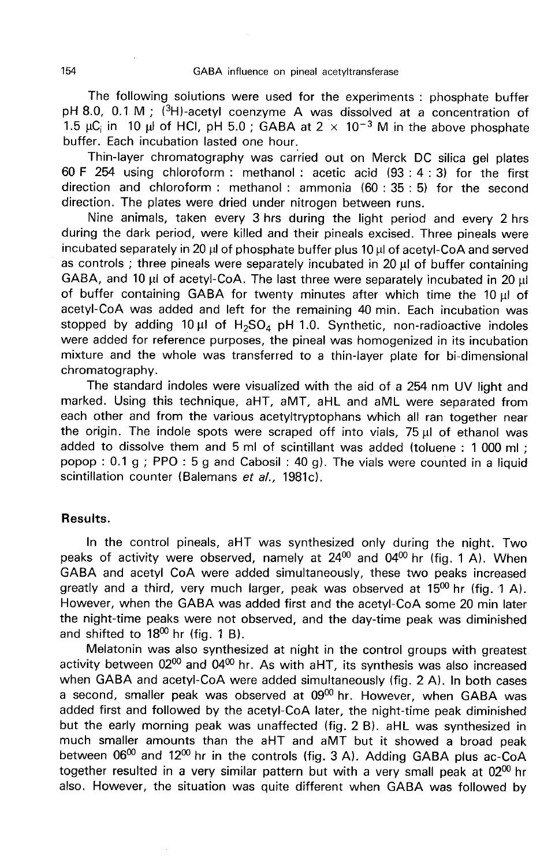The following solutions were used for the experiments : phosphate buffer GABA influence on pineal acetyltransferase<br>The following solutions were used for the experiments : phosphate buffer<br>pH 8.0, 0.1 M ; (<sup>3</sup>H)-acetyl coenzyme A was dissolved at a concentration of<br>1.5  $\mu$ C<sub>i</sub> in 10  $\mu$  of H pH 8.0, 0.1 M; (<sup>3</sup>H)-acetyl coenzyme A was dissolved at a concentration of 1.5  $\mu$ C<sub>i</sub> in 10  $\mu$  of HCI, pH 5.0; GABA at 2  $\times$  10<sup>-3</sup> M in the above phosphate buffer. Each incubation lasted one hour.

Thin-layer chromatography was carried out on Merck DC silica gel plates 60 F 254 using chloroform : methanol : acetic acid (93 : 4 : 3) for the first direction and chloroform : methanol : ammonia (60 : 35 : 5) for the second direction. The plates were dried under nitrogen between runs.

Nine animals, taken every 3 hrs during the light period and every 2 hrs during the dark period, were killed and their pineals excised. Three pineals were incubated separately in 20  $\mu$  of phosphate buffer plus 10  $\mu$  of acetyl-CoA and served as controls ; three pineals were separately incubated in  $20 \mu$  of buffer containing GABA, and 10  $\mu$  of acetyl-CoA. The last three were separately incubated in 20  $\mu$ of buffer containing GABA for twenty minutes after which time the 10  $\mu$ I of acetyl-CoA was added and left for the remaining 40 min. Each incubation was of buffer containing GABA for twenty minutes after which time the 10  $\mu$ l of acetyl-CoA was added and left for the remaining 40 min. Each incubation was stopped by adding 10  $\mu$ l of H<sub>2</sub>SO<sub>4</sub> pH 1.0. Synthetic, non-radi were added for reference purposes, the pineal was homogenized in its incubation mixture and the whole was transferred to a thin-layer plate for bi-dimensional chromatography.

The standard indoles were visualized with the aid of a 254 nm UV light and marked. Using this technique, aHT, aMT, aHL and aML were separated from each other and from the various acetyltryptophans which all ran together near the origin. The indole spots were scraped off into vials,  $75 \mu$  of ethanol was added to dissolve them and 5 ml of scintillant was added (toluene : 1 000 ml ; popop : 0.1 g ; PPO : 5 g and Cabosil : 40 g). The vials were counted in a liquid scintillation counter (Balemans et al., 1981c).

# Results.

In the control pineals, aHT was synthesized only during the night. Two peaks of activity were observed, namely at  $24^{00}$  and  $04^{00}$  hr (fig. 1 A). When GABA and acetyl CoA were added simultaneously, these two peaks increased greatly and a third, very much larger, peak was observed at  $15^{00}$  hr (fig. 1 A). However, when the GABA was added first and the acetyl-CoA some 20 min later the night-time peaks were not observed, and the day-time peak was diminished and shifted to  $18^{00}$  hr (fig. 1 B).

Melatonin was also synthesized at night in the control groups with greatest activity between  $02^{00}$  and  $04^{00}$  hr. As with aHT, its synthesis was also increased when GABA and acetyl-CoA were added simultaneously (fig. 2 A). In both cases a second, smaller peak was observed at 09<sup>00</sup> hr. However, when GABA was added first and followed by the acetyl-CoA later, the night-time peak diminished but the early morning peak was unaffected (fig. 2 B). aHL was synthesized in much smaller amounts than the aHT and aMT but it showed a broad peak between  $06^{00}$  and  $12^{00}$  hr in the controls (fig. 3 A). Adding GABA plus ac-CoA together resulted in a very similar pattern but with a very small peak at  $02^{00}$  hr also. However, the situation was quite different when GABA was followed by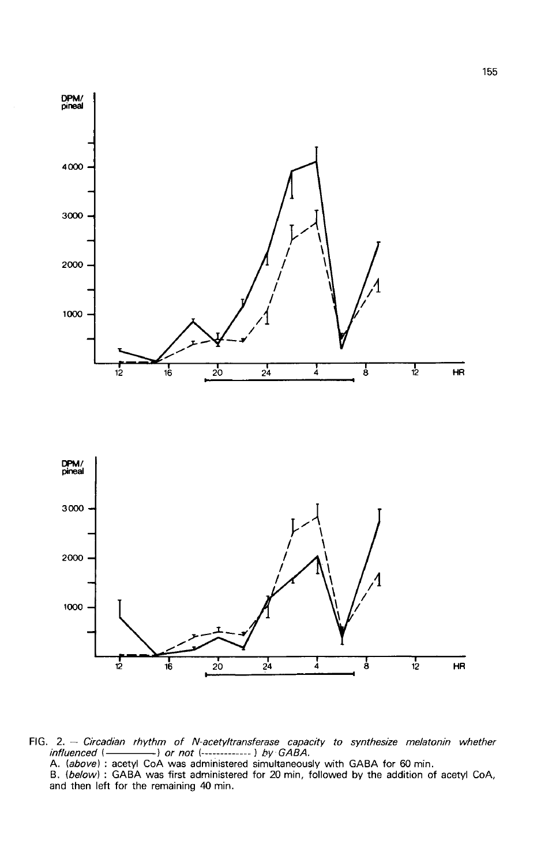

FIG. 2. - Circadian rhythm of N-acetyltransferase capacity to synthesize melatonin whether<br>influenced (- - - - - - ) or not (------------ ) by GABA.<br>A. (above) : acetyl CoA was administered simultaneously with GABA for 60 and then left for the remaining 40 min.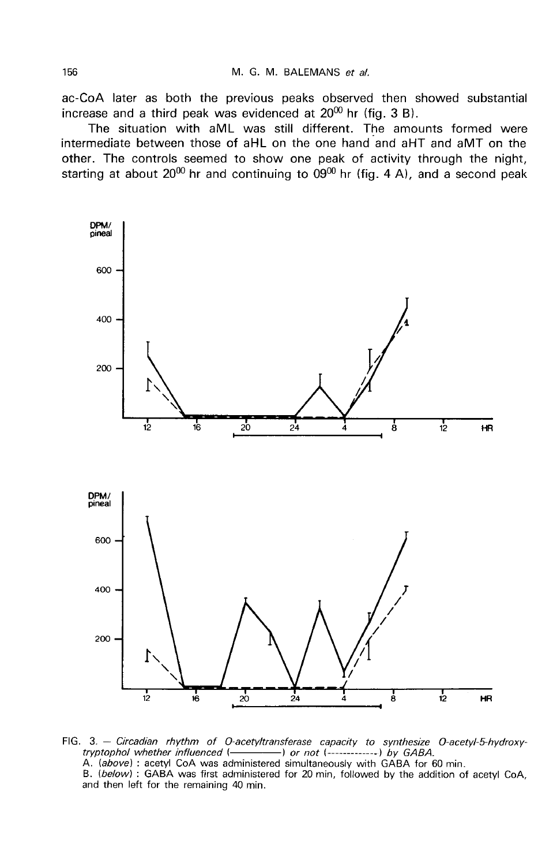ac-CoA later as both the previous peaks observed then showed substantial increase and a third peak was evidenced at  $20^{00}$  hr (fig. 3 B).

The situation with aML was still different. The amounts formed were intermediate between those of aHL on the one hand and aHT and aMT on the other. The controls seemed to show one peak of activity through the night, starting at about  $20^{00}$  hr and continuing to  $09^{00}$  hr (fig. 4 A), and a second peak



FIG. 3. - Circadian rhythm of O-acetyltransferase capacity to synthesize O-acetyl-5-hydroxytryptophol whether influenced (-- or not  $(-$ ---------------) by GABA. A. (above): acetyl CoA was administered simultaneously with GABA for 60 min. B. (below): GABA was first administered for 20 min. followed by the addition of acetyl CoA. and then left for the remaining 40 min.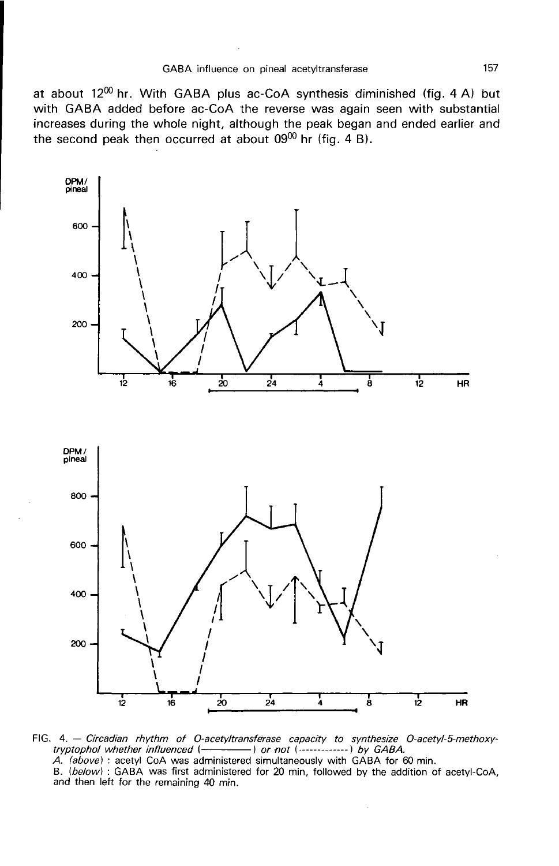at about  $12^{00}$  hr. With GABA plus ac-CoA synthesis diminished (fig. 4 A) but with GABA added before ac-CoA the reverse was again seen with substantial increases during the whole night, although the peak began and ended earlier and the second peak then occurred at about  $09^{00}$  hr (fig. 4 B).



FIG. 4. - Circadian rhythm of O-acetyltransferase capacity to synthesize O-acetyl-5-methoxytryptophol whether influenced (- ------------) or not (----------------) by GABA. A. (above) : acetyl CoA was administered simultaneously with GABA for 60 min. B. (below) : GABA was first administered for 20 min, followed by the addition of acetyl-CoA, and then left for the remaining 40 min.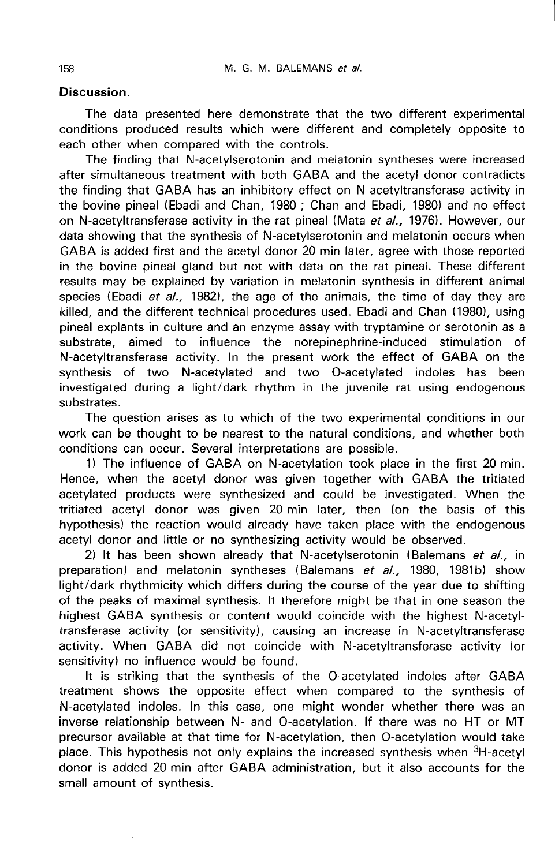# Discussion.

The data presented here demonstrate that the two different experimental conditions produced results which were different and completely opposite to each other when compared with the controls.

The finding that N-acetylserotonin and melatonin syntheses were increased after simultaneous treatment with both GABA and the acetyl donor contradicts the finding that GABA has an inhibitory effect on N-acetyltransferase activity in the bovine pineal (Ebadi and Chan, 1980 ; Chan and Ebadi, 1980) and no effect on N-acetyltransferase activity in the rat pineal (Mata et al., 1976). However, our data showing that the synthesis of N-acetylserotonin and melatonin occurs when GABA is added first and the acetyl donor 20 min later, agree with those reported in the bovine pineal gland but not with data on the rat pineal. These different results may be explained by variation in melatonin synthesis in different animal species (Ebadi et al., 1982), the age of the animals, the time of day they are killed, and the different technical procedures used. Ebadi and Chan (1980), using pineal explants in culture and an enzyme assay with tryptamine or serotonin as a substrate, aimed to influence the norepinephrine-induced stimulation of N-acetyltransferase activity. In the present work the effect of GABA on the synthesis of two N-acetylated and two 0-acetylated indoles has been investigated during a light/dark rhythm in the juvenile rat using endogenous substrates.

The question arises as to which of the two experimental conditions in our work can be thought to be nearest to the natural conditions, and whether both conditions can occur. Several interpretations are possible.

1) The influence of GABA on N-acetylation took place in the first 20 min. Hence, when the acetyl donor was given together with GABA the tritiated acetylated products were synthesized and could be investigated. When the tritiated acetyl donor was given 20 min later, then (on the basis of this hypothesis) the reaction would already have taken place with the endogenous acetyl donor and little or no synthesizing activity would be observed.

2) It has been shown already that N-acetylserotonin (Balemans et al., in preparation) and melatonin syntheses (Balemans et al., 1980, 1981b) show light/dark rhythmicity which differs during the course of the year due to shifting of the peaks of maximal synthesis. It therefore might be that in one season the highest GABA synthesis or content would coincide with the highest N-acetyltransferase activity (or sensitivity), causing an increase in N-acetyltransferase activity. When GABA did not coincide with N-acetyltransferase activity (or sensitivity) no influence would be found.

It is striking that the synthesis of the 0-acetylated indoles after GABA treatment shows the opposite effect when compared to the synthesis of N-acetylated indoles. In this case, one might wonder whether there was an inverse relationship between N- and O-acetylation. If there was no HT or MT precursor available at that time for N-acetylation, then O-acetylation would take<br>place. This hypothesis not only explains the increased synthesis when <sup>3</sup>H-acetyl N-acetylated indoles. In this case, one might wonder whether there was an inverse relationship between N- and O-acetylation. If there was no HT or MT precursor available at that time for N-acetylation, then O-acetylation w donor is added 20 min after GABA administration, but it also accounts for the small amount of synthesis.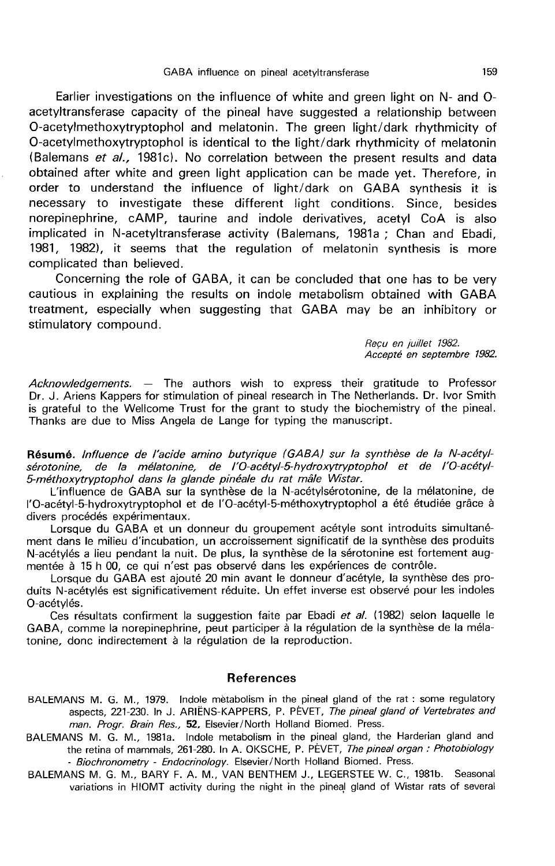Earlier investigations on the influence of white and green light on N- and 0 acetyltransferase capacity of the pineal have suggested a relationship between O-acetylmethoxytryptophol and melatonin. The green light/dark rhythmicity of 0-acetylmethoxytryptophol is identical to the light/dark rhythmicity of melatonin (Balemans et al., 1981c). No correlation between the present results and data obtained after white and green light application can be made yet. Therefore, in order to understand the influence of light/dark on GABA synthesis it is necessary to investigate these different light conditions. Since, besides norepinephrine, cAMP, taurine and indole derivatives, acetyl CoA is also implicated in N-acetyltransferase activity (Balemans, 1981a ; Chan and Ebadi, 1981, 1982), it seems that the regulation of melatonin synthesis is more complicated than believed.

Concerning the role of GABA, it can be concluded that one has to be very cautious in explaining the results on indole metabolism obtained with GABA treatment, especially when suggesting that GABA may be an inhibitory or stimulatory compound.

Reçu en juillet 1982.<br>Accepté en septembre 1982.

 $Acknowledgements. -$  The authors wish to express their gratitude to Professor Dr. J. Ariens Kappers for stimulation of pineal research in The Netherlands. Dr. Ivor Smith is grateful to the Wellcome Trust for the grant to study the biochemistry of the pineal. Thanks are due to Miss Angela de Lange for typing the manuscript.

Résumé. lnfluence de l'acide amino butyrique (GABAJ sur la synthèse de la N-acétylsérotonine, de la mélatonine, de l'O-acétyl-5 hydroxytryptophol et de l'O-acétyl-5-méthoxytryptophol dans la glande pinéale du rat mâle Wistar.

L'influence de GABA sur la synthèse de la N-acétylsérotonine, de la mélatonine, de 1'0-acétyl-5-hydroxytryptophol et de 1'0-acétyl-5-méthoxytryptophol a été étudiée grâce à divers procédés expérimentaux.

Lorsque du GABA et un donneur du groupement acétyle sont introduits simultanément dans le milieu d'incubation, un accroissement significatif de la synthèse des produits N-acétylés a lieu pendant la nuit. De plus, la synthèse de la sérotonine est fortement augmentée à 15 h 00, ce qui n'est pas observé dans les expériences de contrôle.

Lorsque du GABA est ajouté 20 min avant le donneur d'acétyle, la synthèse des produits N-acétylés est significativement réduite. Un effet inverse est observé pour les indoles 0-acétylés.

Ces résultats confirment la suggestion faite par Ebadi et al. (1982) selon laquelle le GABA, comme la norepinephrine, peut participer à la régulation de la synthèse de la mélatonine, donc indirectement à la régulation de la reproduction.

## References

- BALEMANS M. G. M., 1979. Indole metabolism in the pineal gland of the rat : some regulatory aspects, 221-230. In J. ARIENS-KAPPERS, P. PEVET, The pineal gland of Vertebrates and man. Progr. Brain Res., 52, Elsevier/North Holland Biomed. Press.
- BALEMANS M. G. M., 1981a. Indole metabolism in the pineal gland, the Harderian gland and the retina of mammals, 261-280. In A. OKSCHE, P. PEVET, The pineal organ: Photobiology - Biochronometry - Endocrinology. Elsevier/North Holland Biomed. Press.
- BALEMANS M. G. M., BARY F. A. M., VAN BENTHEM J., LEGERSTEE W. C., 1981b. Seasonal variations in HIOMT activity during the night in the pineal gland of Wistar rats of several